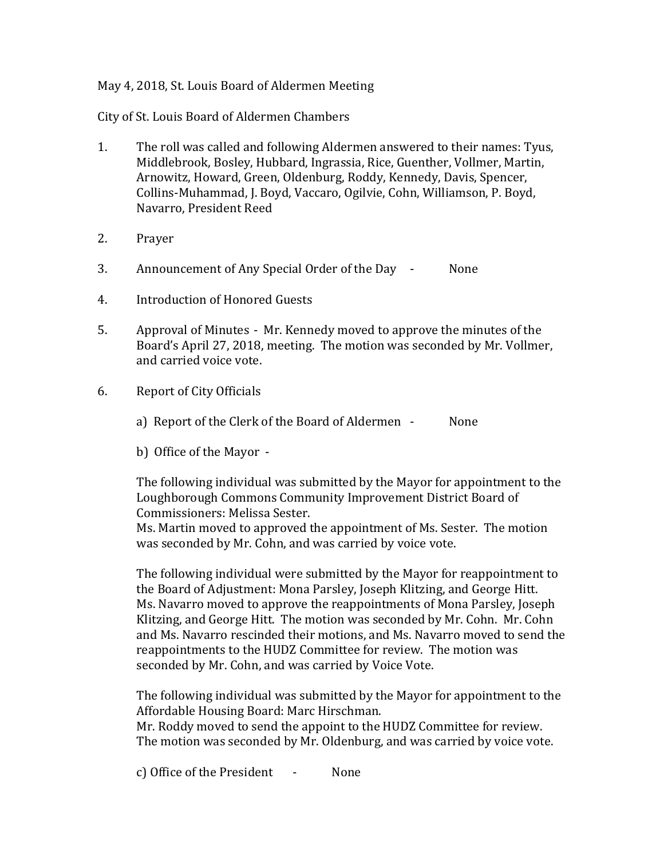## May 4, 2018, St. Louis Board of Aldermen Meeting

City of St. Louis Board of Aldermen Chambers

- 1. The roll was called and following Aldermen answered to their names: Tyus, Middlebrook, Bosley, Hubbard, Ingrassia, Rice, Guenther, Vollmer, Martin, Arnowitz, Howard, Green, Oldenburg, Roddy, Kennedy, Davis, Spencer, Collins-Muhammad, J. Boyd, Vaccaro, Ogilvie, Cohn, Williamson, P. Boyd, Navarro, President Reed
- 2. Prayer
- 3. Announcement of Any Special Order of the Day None
- 4. Introduction of Honored Guests
- 5. Approval of Minutes Mr. Kennedy moved to approve the minutes of the Board's April 27, 2018, meeting. The motion was seconded by Mr. Vollmer, and carried voice vote.
- 6. Report of City Officials
	- a) Report of the Clerk of the Board of Aldermen None
	- b) Office of the Mayor -

The following individual was submitted by the Mayor for appointment to the Loughborough Commons Community Improvement District Board of Commissioners: Melissa Sester.

Ms. Martin moved to approved the appointment of Ms. Sester. The motion was seconded by Mr. Cohn, and was carried by voice vote.

The following individual were submitted by the Mayor for reappointment to the Board of Adjustment: Mona Parsley, Joseph Klitzing, and George Hitt. Ms. Navarro moved to approve the reappointments of Mona Parsley, Joseph Klitzing, and George Hitt. The motion was seconded by Mr. Cohn. Mr. Cohn and Ms. Navarro rescinded their motions, and Ms. Navarro moved to send the reappointments to the HUDZ Committee for review. The motion was seconded by Mr. Cohn, and was carried by Voice Vote.

The following individual was submitted by the Mayor for appointment to the Affordable Housing Board: Marc Hirschman.

Mr. Roddy moved to send the appoint to the HUDZ Committee for review. The motion was seconded by Mr. Oldenburg, and was carried by voice vote.

c) Office of the President - None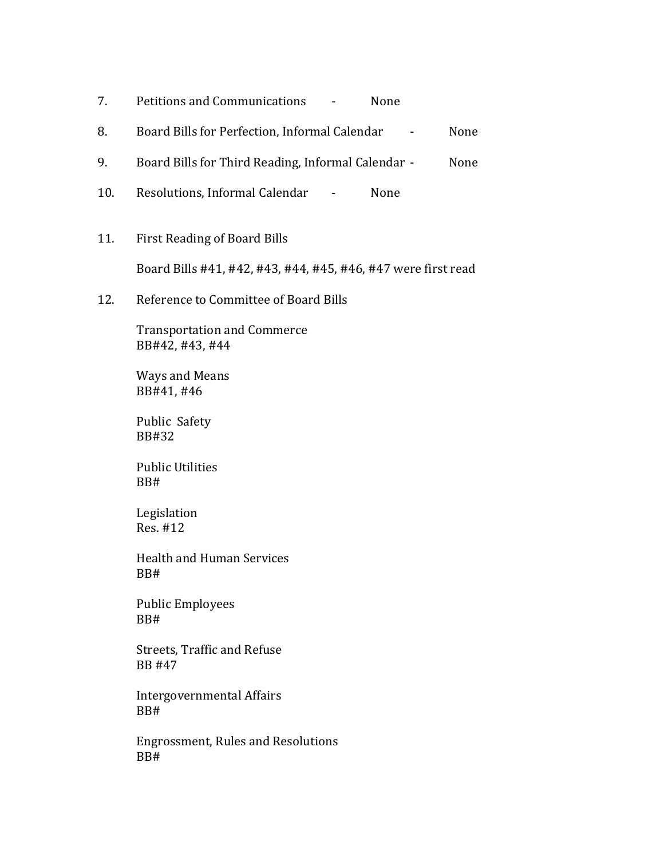| Petitions and Communications | None |
|------------------------------|------|
|------------------------------|------|

- 8. Board Bills for Perfection, Informal Calendar None
- 9. Board Bills for Third Reading, Informal Calendar None
- 10. Resolutions, Informal Calendar None
- 11. First Reading of Board Bills

Board Bills #41, #42, #43, #44, #45, #46, #47 were first read

12. Reference to Committee of Board Bills

Transportation and Commerce BB#42, #43, #44

Ways and Means BB#41, #46

Public Safety BB#32

Public Utilities BB#

Legislation Res. #12

Health and Human Services BB#

Public Employees BB#

Streets, Traffic and Refuse BB #47

Intergovernmental Affairs BB#

Engrossment, Rules and Resolutions BB#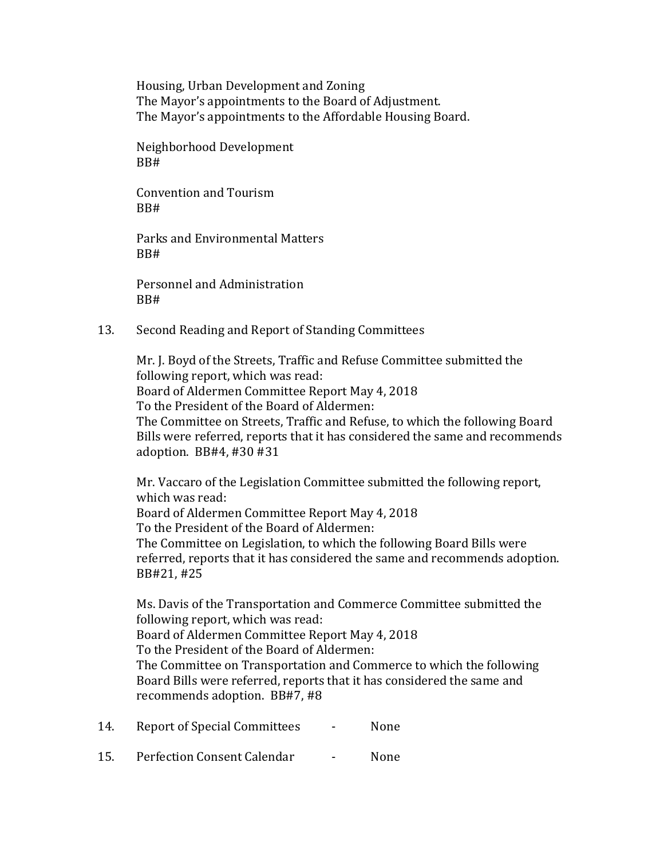Housing, Urban Development and Zoning The Mayor's appointments to the Board of Adjustment. The Mayor's appointments to the Affordable Housing Board.

Neighborhood Development BB#

Convention and Tourism BB#

Parks and Environmental Matters BB#

Personnel and Administration BB#

## 13. Second Reading and Report of Standing Committees

Mr. J. Boyd of the Streets, Traffic and Refuse Committee submitted the following report, which was read: Board of Aldermen Committee Report May 4, 2018 To the President of the Board of Aldermen: The Committee on Streets, Traffic and Refuse, to which the following Board Bills were referred, reports that it has considered the same and recommends adoption. BB#4, #30 #31

Mr. Vaccaro of the Legislation Committee submitted the following report, which was read: Board of Aldermen Committee Report May 4, 2018 To the President of the Board of Aldermen: The Committee on Legislation, to which the following Board Bills were referred, reports that it has considered the same and recommends adoption. BB#21, #25

Ms. Davis of the Transportation and Commerce Committee submitted the following report, which was read: Board of Aldermen Committee Report May 4, 2018 To the President of the Board of Aldermen: The Committee on Transportation and Commerce to which the following Board Bills were referred, reports that it has considered the same and recommends adoption. BB#7, #8

- 14. Report of Special Committees None
- 15. Perfection Consent Calendar None